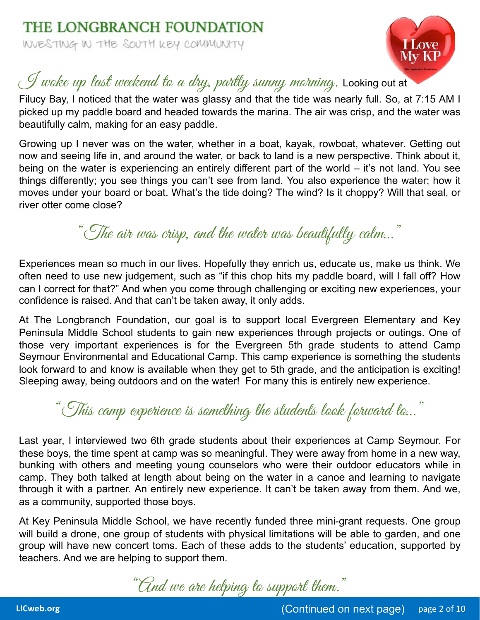

## $\mathcal I$  woke up last weekend to a dry, partly sunny morning. Looking out at

Filucy Bay, I noticed that the water was glassy and that the tide was nearly full. So, at 7:15 AM I picked up my paddle board and headed towards the marina. The air was crisp, and the water was beautifully calm, making for an easy paddle.

Growing up I never was on the water, whether in a boat, kayak, rowboat, whatever. Getting out now and seeing life in, and around the water, or back to land is a new perspective. Think about it, being on the water is experiencing an entirely different part of the world - it's not land. You see things differently; you see things you can't see from land. You also experience the water; how it moves under your board or boat. What's the tide doing? The wind? Is it choppy? Will that seal, or river otter come close?

## "The air was crisp, and the water was beautifully calm…"

Experiences mean so much in our lives. Hopefully they enrich us, educate us, make us think. We often need to use new judgement, such as "if this chop hits my paddle board, will I fall off? How can I correct for that?" And when you come through challenging or exciting new experiences, your confidence is raised. And that can't be taken away, it only adds.

At The Longbranch Foundation, our goal is to support local Evergreen Elementary and Key Peninsula Middle School students to gain new experiences through projects or outings. One of those very important experiences is for the Evergreen 5th grade students to attend Camp Seymour Environmental and Educational Camp. This camp experience is something the students look forward to and know is available when they get to 5th grade, and the anticipation is exciting! Sleeping away, being outdoors and on the water! For many this is entirely new experience.

"This camp experience is something the students look forward to…"

Last year, I interviewed two 6th grade students about their experiences at Camp Seymour. For these boys, the time spent at camp was so meaningful. They were away from home in a new way, bunking with others and meeting young counselors who were their outdoor educators while in camp. They both talked at length about being on the water in a canoe and learning to navigate through it with a partner. An entirely new experience. It can't be taken away from them. And we, as a community, supported those boys.

At Key Peninsula Middle School, we have recently funded three mini-grant requests. One group will build a drone, one group of students with physical limitations will be able to garden, and one group will have new concert toms. Each of these adds to the students' education, supported by teachers. And we are helping to support them.

"And we are helping to support them."